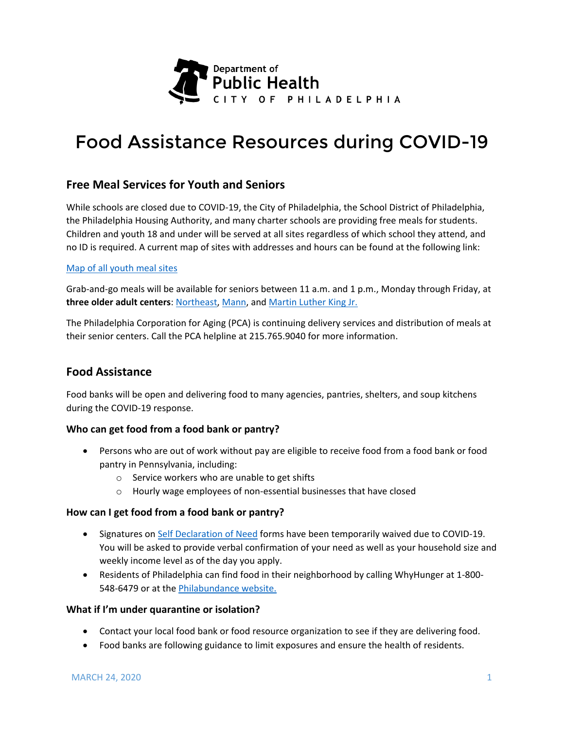

# Food Assistance Resources during COVID-19

## **Free Meal Services for Youth and Seniors**

While schools are closed due to COVID-19, the City of Philadelphia, the School District of Philadelphia, the Philadelphia Housing Authority, and many charter schools are providing free meals for students. Children and youth 18 and under will be served at all sites regardless of which school they attend, and no ID is required. A current map of sites with addresses and hours can be found at the following link:

## [Map of all youth meal sites](http://phl.maps.arcgis.com/apps/View/index.html?appid=34b210c6dd684b8e944768c82c0efa5e)

Grab-and-go meals will be available for seniors between 11 a.m. and 1 p.m., Monday through Friday, at **three older adult centers**: [Northeast,](https://www.phila.gov/parks-rec-finder/#/location/northeast-older-adult-center/56a8f8547a8cee5e3a25b001) [Mann,](https://www.phila.gov/parks-rec-finder/#/location/mann-older-adult-center/56a8f85d7a8cee5e3a25b053) and [Martin Luther King Jr.](https://www.phila.gov/parks-rec-finder/#/location/mann-older-adult-center/56a8f85d7a8cee5e3a25b053)

The Philadelphia Corporation for Aging (PCA) is continuing delivery services and distribution of meals at their senior centers. Call the PCA helpline at 215.765.9040 for more information.

## **Food Assistance**

Food banks will be open and delivering food to many agencies, pantries, shelters, and soup kitchens during the COVID-19 response.

## **Who can get food from a food bank or pantry?**

- Persons who are out of work without pay are eligible to receive food from a food bank or food pantry in Pennsylvania, including:
	- o Service workers who are unable to get shifts
	- o Hourly wage employees of non-essential businesses that have closed

## **How can I get food from a food bank or pantry?**

- Signatures on [Self Declaration of Need](https://www.agriculture.pa.gov/Food/food_assistance/The%20Emergency%20Food%20Assistance%20Program/Documents/2019-2020%20Declaration%20of%20Need%20Form%28English%29.pdf) forms have been temporarily waived due to COVID-19. You will be asked to provide verbal confirmation of your need as well as your household size and weekly income level as of the day you apply.
- Residents of Philadelphia can find food in their neighborhood by calling WhyHunger at 1-800- 548-6479 or at the [Philabundance website.](https://www.philabundance.org/find-food/)

## **What if I'm under quarantine or isolation?**

- Contact your local food bank or food resource organization to see if they are delivering food.
- Food banks are following guidance to limit exposures and ensure the health of residents.